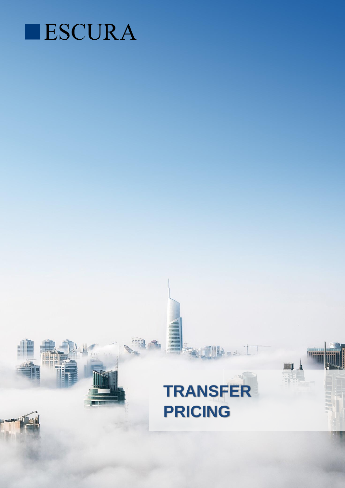

 $\mathbf{H}$  $\overline{I}$ 

# **TRANSFER PRICING**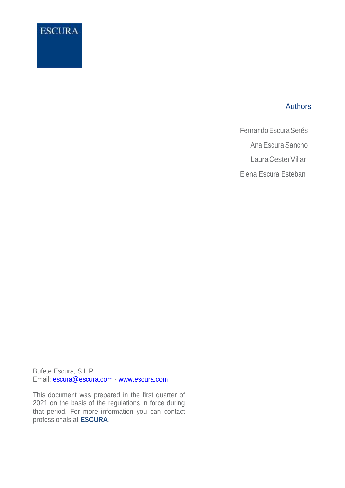

#### Authors

FernandoEscuraSerés Ana Escura Sancho

LauraCesterVillar

Elena Escura Esteban

Bufete Escura, S.L.P. Email: **escura@escura.com** - [www.escura.com](http://www.escura.com/)

This document was prepared in the first quarter of 2021 on the basis of the regulations in force during that period. For more information you can contact professionals at **ESCURA**.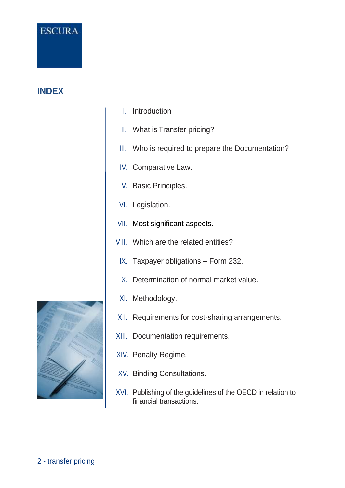

# **INDEX**

- I. Introduction
- II. What is Transfer pricing?
- III. Who is required to prepare the Documentation?
- IV. Comparative Law.
- V. Basic Principles.
- VI. Legislation.
- VII. Most significant aspects.
- VIII. Which are the related entities?
	- IX. Taxpayer obligations Form 232.
	- X. Determination of normal market value.
	- XI. Methodology.
- XII. Requirements for cost-sharing arrangements.
- XIII. Documentation requirements.
- XIV. Penalty Regime.
- XV. Binding Consultations.
- XVI. Publishing of the guidelines of the OECD in relation to financial transactions.

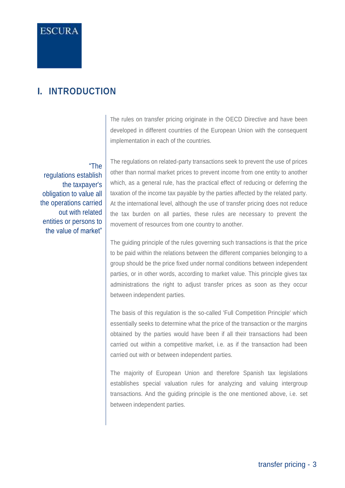

# **I. INTRODUCTION**

The rules on transfer pricing originate in the OECD Directive and have been developed in different countries of the European Union with the consequent implementation in each of the countries.

"The regulations establish the taxpayer's obligation to value all the operations carried out with related entities or persons to the value of market"

The regulations on related-party transactions seek to prevent the use of prices other than normal market prices to prevent income from one entity to another which, as a general rule, has the practical effect of reducing or deferring the taxation of the income tax payable by the parties affected by the related party. At the international level, although the use of transfer pricing does not reduce the tax burden on all parties, these rules are necessary to prevent the movement of resources from one country to another.

The guiding principle of the rules governing such transactions is that the price to be paid within the relations between the different companies belonging to a group should be the price fixed under normal conditions between independent parties, or in other words, according to market value. This principle gives tax administrations the right to adjust transfer prices as soon as they occur between independent parties.

The basis of this regulation is the so-called 'Full Competition Principle' which essentially seeks to determine what the price of the transaction or the margins obtained by the parties would have been if all their transactions had been carried out within a competitive market, i.e. as if the transaction had been carried out with or between independent parties.

The majority of European Union and therefore Spanish tax legislations establishes special valuation rules for analyzing and valuing intergroup transactions. And the guiding principle is the one mentioned above, i.e. set between independent parties.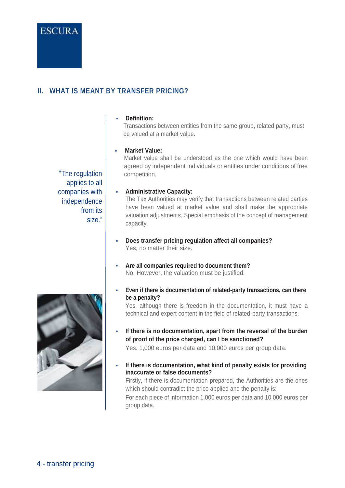

#### **II. WHAT IS MEANT BY TRANSFER PRICING?**

#### **Definition:**

Transactions between entities from the same group, related party, must be valued at a market value.

#### **Market Value:**

Market value shall be understood as the one which would have been agreed by independent individuals or entities under conditions of free competition.

#### ▪ **Administrative Capacity:**

The Tax Authorities may verify that transactions between related parties have been valued at market value and shall make the appropriate valuation adjustments. Special emphasis of the concept of management capacity.

- **Does transfer pricing regulation affect all companies?** Yes, no matter their size.
- **Are all companies required to document them?** No. However, the valuation must be justified.
- **Even if there is documentation of related-party transactions, can there be a penalty?**

Yes, although there is freedom in the documentation, it must have a technical and expert content in the field of related-party transactions.

If there is no documentation, apart from the reversal of the burden **of proof of the price charged, can I be sanctioned?**

Yes. 1,000 euros per data and 10,000 euros per group data.

▪ **If there is documentation, what kind of penalty exists for providing inaccurate or false documents?** Firstly, if there is documentation prepared, the Authorities are the ones which should contradict the price applied and the penalty is: For each piece of information 1,000 euros per data and 10,000 euros per group data.

"The regulation applies to all companies with independence from its size."

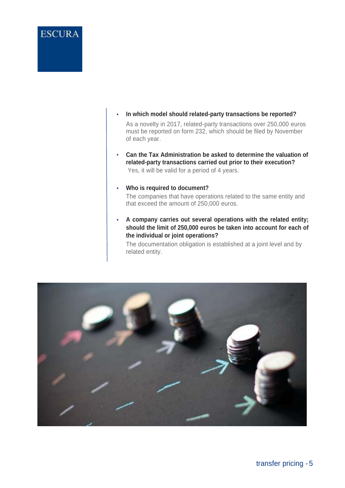

- **In which model should related-party transactions be reported?**  As a novelty in 2017, related-party transactions over 250,000 euros must be reported on form 232, which should be filed by November of each year.
- Can the Tax Administration be asked to determine the valuation of **related-party transactions carried out prior to their execution?** Yes, it will be valid for a period of 4 years.
- **Who is required to document?**

The companies that have operations related to the same entity and that exceed the amount of 250,000 euros.

▪ **A company carries out several operations with the related entity; should the limit of 250,000 euros be taken into account for each of the individual or joint operations?**

The documentation obligation is established at a joint level and by related entity.

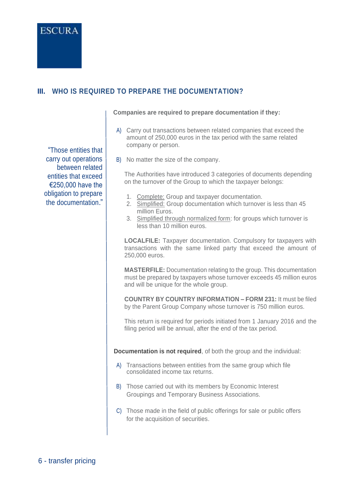

# **III. WHO IS REQUIRED TO PREPARE THE DOCUMENTATION?**

"Those entities that carry out operations between related entities that exceed €250,000 have the obligation to prepare the documentation."

**Companies are required to prepare documentation if they:**

- A) Carry out transactions between related companies that exceed the amount of 250,000 euros in the tax period with the same related company or person.
- B) No matter the size of the company.

The Authorities have introduced 3 categories of documents depending on the turnover of the Group to which the taxpayer belongs:

- 1. Complete: Group and taxpayer documentation.
- 2. Simplified: Group documentation which turnover is less than 45 million Euros.
- 3. Simplified through normalized form: for groups which turnover is less than 10 million euros.

**LOCALFILE:** Taxpayer documentation. Compulsory for taxpayers with transactions with the same linked party that exceed the amount of 250,000 euros.

**MASTERFILE:** Documentation relating to the group. This documentation must be prepared by taxpayers whose turnover exceeds 45 million euros and will be unique for the whole group.

**COUNTRY BY COUNTRY INFORMATION – FORM 231:** It must be filed by the Parent Group Company whose turnover is 750 million euros.

This return is required for periods initiated from 1 January 2016 and the filing period will be annual, after the end of the tax period.

**Documentation is not required**, of both the group and the individual:

- A) Transactions between entities from the same group which file consolidated income tax returns.
- B) Those carried out with its members by Economic Interest Groupings and Temporary Business Associations.
- C) Those made in the field of public offerings for sale or public offers for the acquisition of securities.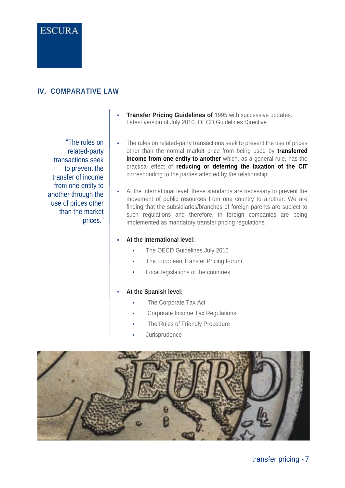

#### **IV. COMPARATIVE LAW**

"The rules on related-party transactions seek to prevent the transfer of income from one entity to another through the use of prices other than the market prices."

- **Transfer Pricing Guidelines of 1995 with successive updates.** Latest version of July 2010. OECD Guidelines Directive.
- The rules on related-party transactions seek to prevent the use of prices other than the normal market price from being used by **transferred income from one entity to another** which, as a general rule, has the practical effect of **reducing or deferring the taxation of the CIT** corresponding to the parties affected by the relationship.
- At the international level, these standards are necessary to prevent the movement of public resources from one country to another. We are finding that the subsidiaries/branches of foreign parents are subject to such regulations and therefore, in foreign companies are being implemented as mandatory transfer pricing regulations.

#### At the international level:

- The OECD Guidelines July 2010
- The European Transfer Pricing Forum
- Local legislations of the countries

#### ▪ **At the Spanish level:**

- The Corporate Tax Act
- Corporate Income Tax Regulations
- The Rules of Friendly Procedure
- **Jurisprudence**

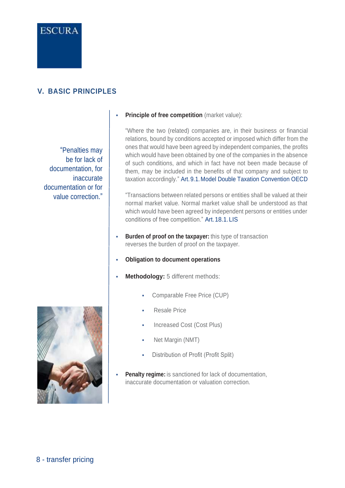

# **V. BASIC PRINCIPLES**

"Penalties may be for lack of documentation, for inaccurate documentation or for value correction."



"Where the two (related) companies are, in their business or financial relations, bound by conditions accepted or imposed which differ from the ones that would have been agreed by independent companies, the profits which would have been obtained by one of the companies in the absence of such conditions, and which in fact have not been made because of them, may be included in the benefits of that company and subject to taxation accordingly." Art.9.1.Model Double Taxation Convention OECD

"Transactions between related persons or entities shall be valued at their normal market value. Normal market value shall be understood as that which would have been agreed by independent persons or entities under conditions of free competition." Art.18.1.LIS

- **Burden of proof on the taxpayer:** this type of transaction reverses the burden of proof on the taxpayer.
- **Obligation to document operations**
- **Methodology:** 5 different methods:
	- Comparable Free Price (CUP)
	- **Resale Price**
	- Increased Cost (Cost Plus)
	- Net Margin (NMT)
	- Distribution of Profit (Profit Split)
- **Penalty regime:** is sanctioned for lack of documentation, inaccurate documentation or valuation correction.

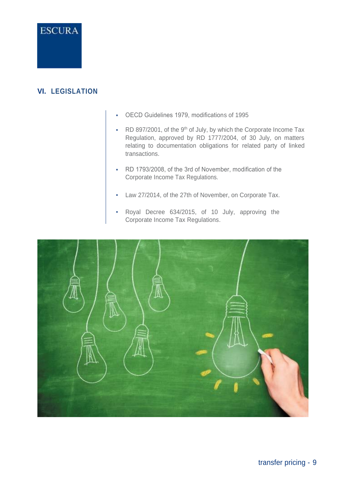

# **VI. LEGISLATION**

- OECD Guidelines 1979, modifications of 1995
- $\cdot$  RD 897/2001, of the 9<sup>th</sup> of July, by which the Corporate Income Tax Regulation, approved by RD 1777/2004, of 30 July, on matters relating to documentation obligations for related party of linked transactions.
- RD 1793/2008, of the 3rd of November, modification of the Corporate Income Tax Regulations.
- Law 27/2014, of the 27th of November, on Corporate Tax.
- Royal Decree 634/2015, of 10 July, approving the Corporate Income Tax Regulations.

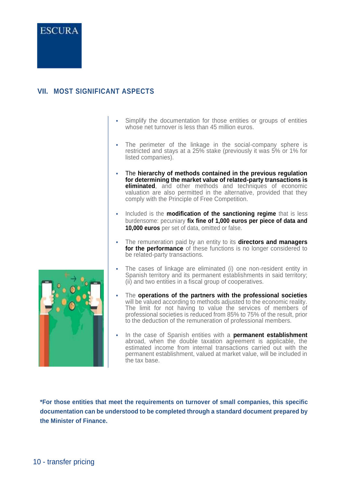

#### **VII. MOST SIGNIFICANT ASPECTS**

- Simplify the documentation for those entities or groups of entities whose net turnover is less than 45 million euros.
- The perimeter of the linkage in the social-company sphere is restricted and stays at a 25% stake (previously it was 5% or 1% for listed companies).
- The **hierarchy of methods contained in the previous regulation for determining the market value of related-party transactions is eliminated**, and other methods and techniques of economic valuation are also permitted in the alternative, provided that they comply with the Principle of Free Competition.
- Included is the **modification of the sanctioning regime** that is less burdensome: pecuniary **fix fine of 1,000 euros per piece of data and 10,000 euros** per set of data, omitted or false.
- The remuneration paid by an entity to its **directors and managers for the performance** of these functions is no longer considered to be related-party transactions.
- The cases of linkage are eliminated (i) one non-resident entity in Spanish territory and its permanent establishments in said territory; (ii) and two entities in a fiscal group of cooperatives.
- The **operations of the partners with the professional societies** will be valued according to methods adjusted to the economic reality. The limit for not having to value the services of members of professional societies is reduced from 85% to 75% of the result, prior to the deduction of the remuneration of professional members.
- In the case of Spanish entities with a **permanent establishment** abroad, when the double taxation agreement is applicable, the estimated income from internal transactions carried out with the permanent establishment, valued at market value, will be included in the tax base.

**\*For those entities that meet the requirements on turnover of small companies, this specific documentation can be understood to be completed through a standard document prepared by the Minister of Finance.**

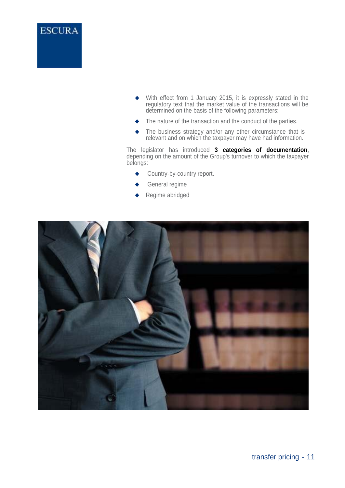

- ◆ With effect from 1 January 2015, it is expressly stated in the regulatory text that the market value of the transactions will be determined on the basis of the following parameters:
- The nature of the transaction and the conduct of the parties.
- ◆ The business strategy and/or any other circumstance that is relevant and on which the taxpayer may have had information.

The legislator has introduced **3 categories of documentation**, depending on the amount of the Group's turnover to which the taxpayer belongs:

- Country-by-country report.
- General regime
- Regime abridged

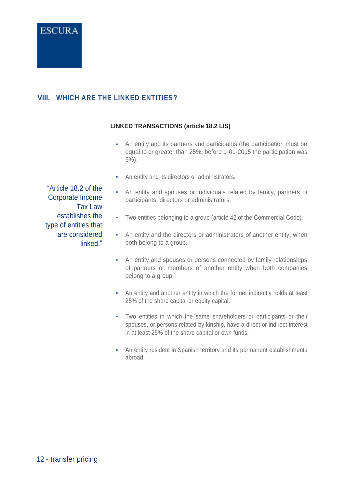

# **VIII. WHICH ARE THE LINKED ENTITIES?**

#### **LINKED TRANSACTIONS (article 18.2 LIS)**

- An entity and its partners and participants (the participation must be equal to or greater than 25%, before 1-01-2015 the participation was 5%).
- An entity and its directors or administrators.

"Article 18.2 of the Corporate Income Tax Law establishes the type of entities that are considered linked."

- An entity and spouses or individuals related by family, partners or participants, directors or administrators.
- Two entities belonging to a group (article 42 of the Commercial Code).
- An entity and the directors or administrators of another entity, when both belong to a group.
- An entity and spouses or persons connected by family relationships of partners or members of another entity when both companies belong to a group.
- An entity and another entity in which the former indirectly holds at least 25% of the share capital or equity capital.
- Two entities in which the same shareholders or participants or their spouses, or persons related by kinship, have a direct or indirect interest in at least 25% of the share capital or own funds.
- An entity resident in Spanish territory and its permanent establishments abroad.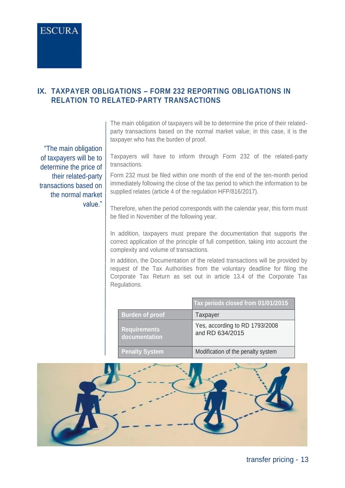#### **IX. TAXPAYER OBLIGATIONS – FORM 232 REPORTING OBLIGATIONS IN RELATION TO RELATED-PARTY TRANSACTIONS**

party transactions based on the normal market value; in this case, it is the taxpayer who has the burden of proof.

"The main obligation of taxpayers will be to determine the price of their related-party transactions based on the normal market transactions.

value."

Taxpayers will have to inform through Form 232 of the related-party

The main obligation of taxpayers will be to determine the price of their related-

Form 232 must be filed within one month of the end of the ten-month period immediately following the close of the tax period to which the information to be supplied relates (article 4 of the regulation HFP/816/2017).

Therefore, when the period corresponds with the calendar year, this form must be filed in November of the following year.

In addition, taxpayers must prepare the documentation that supports the correct application of the principle of full competition, taking into account the complexity and volume of transactions.

In addition, the Documentation of the related transactions will be provided by request of the Tax Authorities from the voluntary deadline for filing the Corporate Tax Return as set out in article 13.4 of the Corporate Tax Regulations.

|                                      | Tax periods closed from 01/01/2015                |
|--------------------------------------|---------------------------------------------------|
| <b>Burden of proof</b>               | Taxpayer                                          |
| <b>Requirements</b><br>documentation | Yes, according to RD 1793/2008<br>and RD 634/2015 |
| <b>Penalty System</b>                | Modification of the penalty system                |

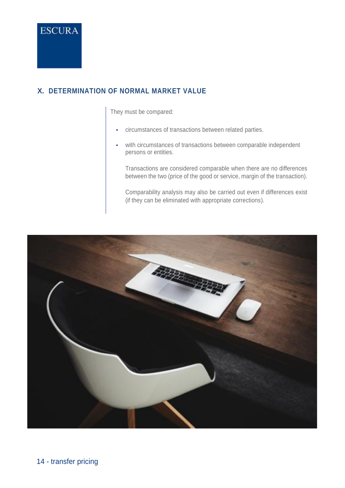

#### **X. DETERMINATION OF NORMAL MARKET VALUE**

They must be compared:

- circumstances of transactions between related parties.
- with circumstances of transactions between comparable independent persons or entities.

Transactions are considered comparable when there are no differences between the two (price of the good or service, margin of the transaction).

Comparability analysis may also be carried out even if differences exist (if they can be eliminated with appropriate corrections).

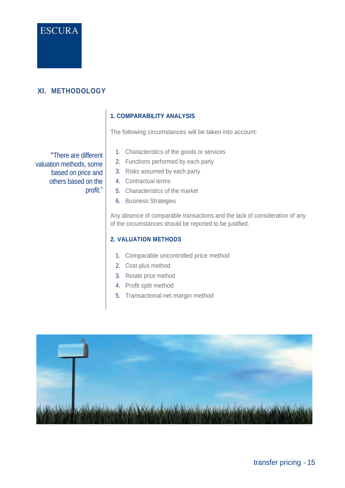

# **XI. METHODOLOGY**

"There are different valuation methods, some based on price and others based on the profit."

#### **1. COMPARABILITY ANALYSIS**

The following circumstances will be taken into account:

- 1. Characteristics of the goods or services
- 2. Functions performed by each party
- 3. Risks assumed by each party
- 4. Contractual terms
- 5. Characteristics of the market
- 6. Business Strategies

Any absence of comparable transactions and the lack of consideration of any of the circumstances should be reported to be justified.

#### **2. VALUATION METHODS**

- 1. Comparable uncontrolled price method
- 2. Cost-plus method
- 3. Resale price method
- 4. Profit split method
- 5. Transactional net margin method

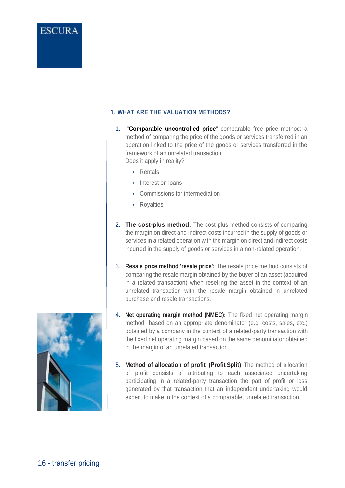

#### **1. WHAT ARE THE VALUATION METHODS?**

- 1. "**Comparable uncontrolled price**" comparable free price method: a method of comparing the price of the goods or services transferred in an operation linked to the price of the goods or services transferred in the framework of an unrelated transaction. Does it apply in reality?
	- Rentals
	- **·** Interest on loans
	- Commissions for intermediation
	- Royalties
- 2. **The cost-plus method:** The cost-plus method consists of comparing the margin on direct and indirect costs incurred in the supply of goods or services in a related operation with the margin on direct and indirect costs incurred in the supply of goods or services in a non-related operation.
- 3. **Resale price method 'resale price':** The resale price method consists of comparing the resale margin obtained by the buyer of an asset (acquired in a related transaction) when reselling the asset in the context of an unrelated transaction with the resale margin obtained in unrelated purchase and resale transactions.
- 4. **Net operating margin method (NMEC):** The fixed net operating margin method based on an appropriate denominator (e.g. costs, sales, etc.) obtained by a company in the context of a related-party transaction with the fixed net operating margin based on the same denominator obtained in the margin of an unrelated transaction.
- 5. **Method of allocation of profit (Profit Split)**: The method of allocation of profit consists of attributing to each associated undertaking participating in a related-party transaction the part of profit or loss generated by that transaction that an independent undertaking would expect to make in the context of a comparable, unrelated transaction.

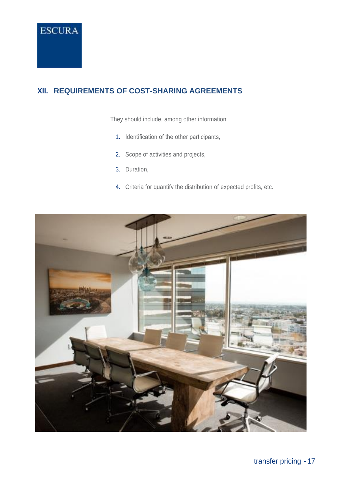

# **XII. REQUIREMENTS OF COST-SHARING AGREEMENTS**

They should include, among other information:

- 1. Identification of the other participants,
- 2. Scope of activities and projects,
- 3. Duration,
- 4. Criteria for quantify the distribution of expected profits, etc.

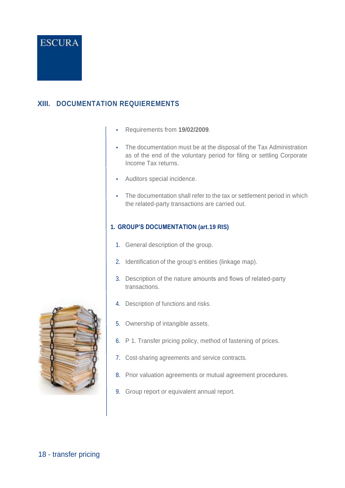

### **XIII. DOCUMENTATION REQUIEREMENTS**

- Requirements from **19/02/2009**.
- The documentation must be at the disposal of the Tax Administration as of the end of the voluntary period for filing or settling Corporate Income Tax returns.
- Auditors special incidence.
- The documentation shall refer to the tax or settlement period in which the related-party transactions are carried out.

#### **1. GROUP'S DOCUMENTATION (art.19 RIS)**

- 1. General description of the group.
- 2. Identification of the group's entities (linkage map).
- 3. Description of the nature amounts and flows of related-party transactions.
- 4. Description of functions and risks.
- 5. Ownership of intangible assets.
- 6. P 1. Transfer pricing policy, method of fastening of prices.
- 7. Cost-sharing agreements and service contracts.
- 8. Prior valuation agreements or mutual agreement procedures.
- 9. Group report or equivalent annual report.

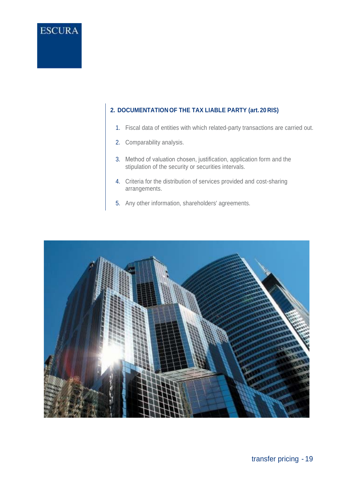

#### **2. DOCUMENTATION OF THE TAX LIABLE PARTY (art. 20 RIS)**

- 1. Fiscal data of entities with which related-party transactions are carried out.
- 2. Comparability analysis.
- 3. Method of valuation chosen, justification, application form and the stipulation of the security or securities intervals.
- 4. Criteria for the distribution of services provided and cost-sharing arrangements.
- 5. Any other information, shareholders' agreements.

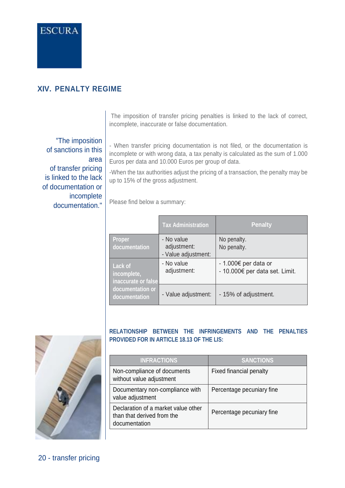

# **XIV. PENALTY REGIME**

"The imposition of sanctions in this area of transfer pricing is linked to the lack of documentation or incomplete documentation."

The imposition of transfer pricing penalties is linked to the lack of correct, incomplete, inaccurate or false documentation.

- When transfer pricing documentation is not filed, or the documentation is incomplete or with wrong data, a tax penalty is calculated as the sum of 1.000 Euros per data and 10.000 Euros per group of data.

-When the tax authorities adjust the pricing of a transaction, the penalty may be up to 15% of the gross adjustment.

Please find below a summary:

|                                               | <b>Tax Administration</b>                        | <b>Penalty</b>                                         |
|-----------------------------------------------|--------------------------------------------------|--------------------------------------------------------|
| Proper<br>documentation                       | - No value<br>adjustment:<br>- Value adjustment: | No penalty.<br>No penalty.                             |
| Lack of<br>incomplete,<br>inaccurate or false | - No value<br>adjustment:                        | - 1.000€ per data or<br>- 10.000€ per data set. Limit. |
| documentation or<br>documentation             | - Value adjustment:                              | - 15% of adjustment.                                   |



#### **RELATIONSHIP BETWEEN THE INFRINGEMENTS AND THE PENALTIES PROVIDED FOR IN ARTICLE 18.13 OF THE LIS:**

| <b>INFRACTIONS</b>                                                                 | <b>SANCTIONS</b>          |
|------------------------------------------------------------------------------------|---------------------------|
| Non-compliance of documents<br>without value adjustment                            | Fixed financial penalty   |
| Documentary non-compliance with<br>value adjustment                                | Percentage pecuniary fine |
| Declaration of a market value other<br>than that derived from the<br>documentation | Percentage pecuniary fine |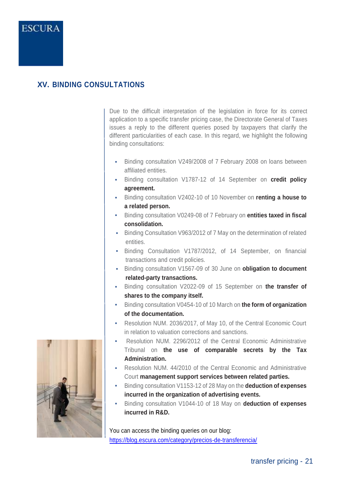# **ESCURA**

# **XV. BINDING CONSULTATIONS**

Due to the difficult interpretation of the legislation in force for its correct application to a specific transfer pricing case, the Directorate General of Taxes issues a reply to the different queries posed by taxpayers that clarify the different particularities of each case. In this regard, we highlight the following binding consultations:

- Binding consultation V249/2008 of 7 February 2008 on loans between affiliated entities.
- Binding consultation V1787-12 of 14 September on **credit policy agreement.**
- Binding consultation V2402-10 of 10 November on **renting a house to a related person.**
- Binding consultation V0249-08 of 7 February on **entities taxed in fiscal consolidation.**
- Binding Consultation V963/2012 of 7 May on the determination of related entities.
- Binding Consultation V1787/2012, of 14 September, on financial transactions and credit policies.
- Binding consultation V1567-09 of 30 June on **obligation to document related-party transactions.**
- Binding consultation V2022-09 of 15 September on **the transfer of shares to the company itself.**
- Binding consultation V0454-10 of 10 March on **the form of organization of the documentation.**
- Resolution NUM. 2036/2017, of May 10, of the Central Economic Court in relation to valuation corrections and sanctions.
- Resolution NUM. 2296/2012 of the Central Economic Administrative Tribunal on **the use of comparable secrets by the Tax Administration.**
- Resolution NUM, 44/2010 of the Central Economic and Administrative Court **management support services between related parties.**
- Binding consultation V1153-12 of 28 May on the **deduction of expenses incurred in the organization of advertising events.**
- Binding consultation V1044-10 of 18 May on **deduction of expenses incurred in R&D.**

You can access the binding queries on our blog: <https://blog.escura.com/category/precios-de-transferencia/>

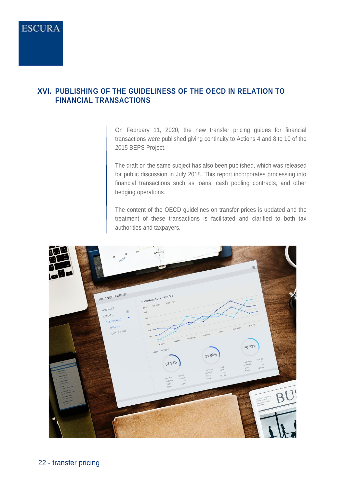# **ESCURA**

#### **XVI. PUBLISHING OF THE GUIDELINESS OF THE OECD IN RELATION TO FINANCIAL TRANSACTIONS**

On February 11, 2020, the new transfer pricing guides for financial transactions were published giving continuity to Actions 4 and 8 to 10 of the 2015 BEPS Project.

The draft on the same subject has also been published, which was released for public discussion in July 2018. This report incorporates processing into financial transactions such as loans, cash pooling contracts, and other hedging operations.

The content of the OECD guidelines on transfer prices is updated and the treatment of these transactions is facilitated and clarified to both tax authorities and taxpayers.